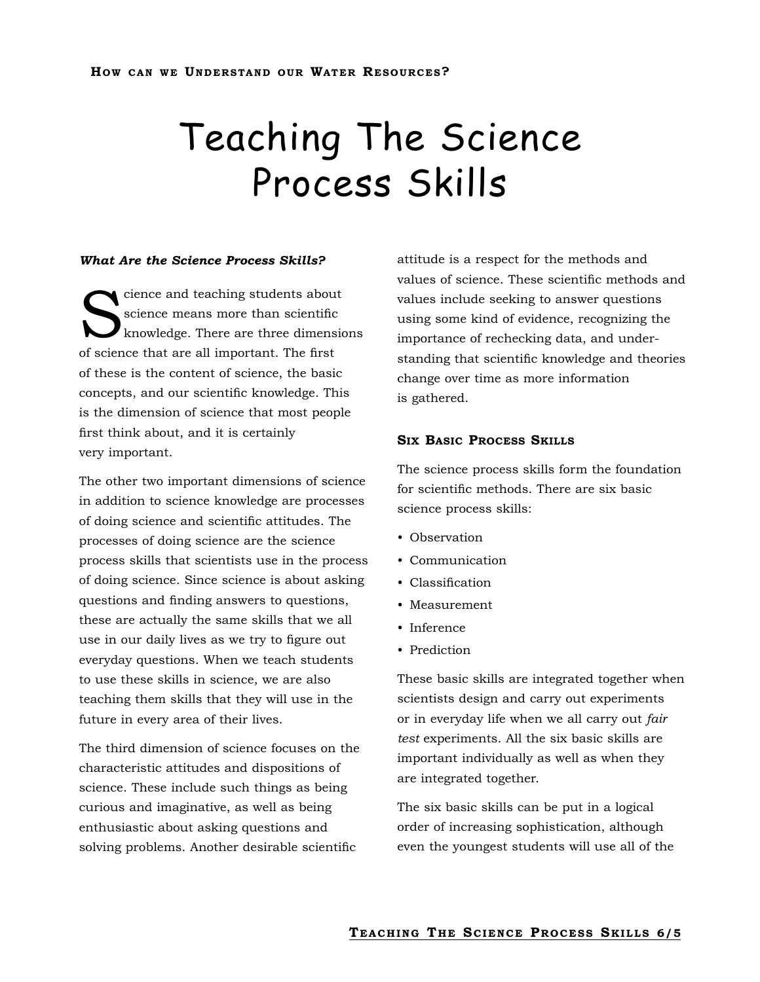# Teaching The Science Process Skills

## *What Are the Science Process Skills?*

Science and teaching students about<br>
Science means more than scientific<br>
knowledge. There are three dimension science means more than scientific knowledge. There are three dimensions of science that are all important. The first of these is the content of science, the basic concepts, and our scientific knowledge. This is the dimension of science that most people first think about, and it is certainly very important.

The other two important dimensions of science in addition to science knowledge are processes of doing science and scientific attitudes. The processes of doing science are the science process skills that scientists use in the process of doing science. Since science is about asking questions and finding answers to questions, these are actually the same skills that we all use in our daily lives as we try to figure out everyday questions. When we teach students to use these skills in science, we are also teaching them skills that they will use in the future in every area of their lives.

The third dimension of science focuses on the characteristic attitudes and dispositions of science. These include such things as being curious and imaginative, as well as being enthusiastic about asking questions and solving problems. Another desirable scientific

attitude is a respect for the methods and values of science. These scientific methods and values include seeking to answer questions using some kind of evidence, recognizing the importance of rechecking data, and understanding that scientific knowledge and theories change over time as more information is gathered.

### **SIX BASIC PROCESS SKILLS**

The science process skills form the foundation for scientific methods. There are six basic science process skills:

- Observation
- Communication
- Classification
- Measurement
- Inference
- Prediction

These basic skills are integrated together when scientists design and carry out experiments or in everyday life when we all carry out *fair test* experiments. All the six basic skills are important individually as well as when they are integrated together.

The six basic skills can be put in a logical order of increasing sophistication, although even the youngest students will use all of the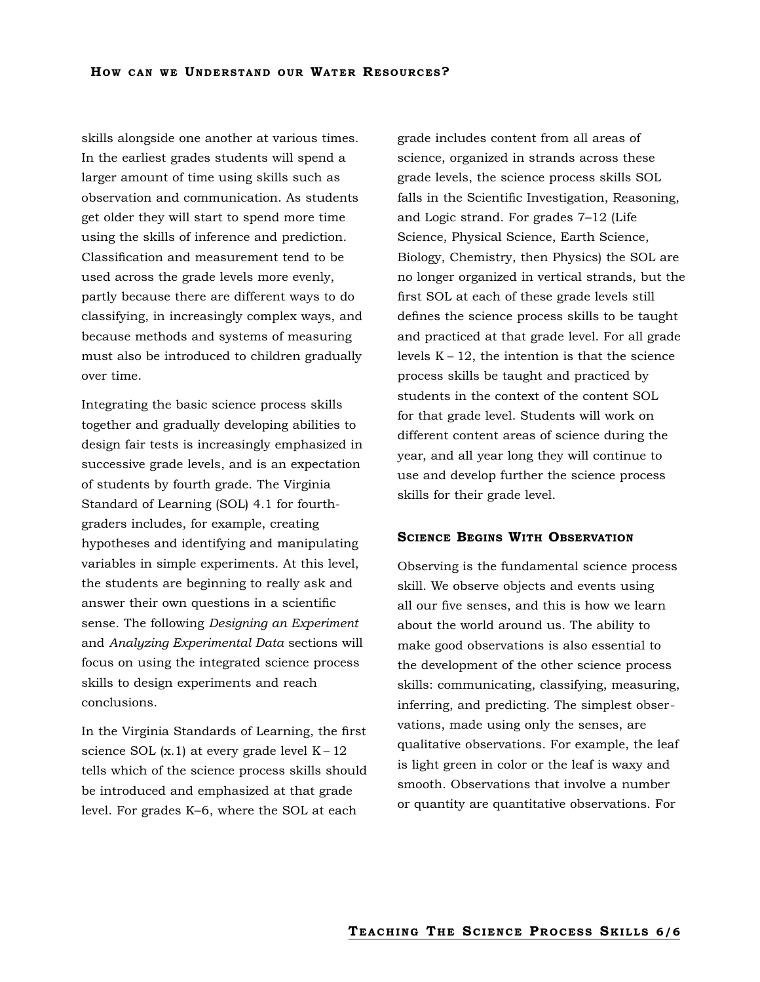skills alongside one another at various times. In the earliest grades students will spend a larger amount of time using skills such as observation and communication. As students get older they will start to spend more time using the skills of inference and prediction. Classification and measurement tend to be used across the grade levels more evenly, partly because there are different ways to do classifying, in increasingly complex ways, and because methods and systems of measuring must also be introduced to children gradually over time.

Integrating the basic science process skills together and gradually developing abilities to design fair tests is increasingly emphasized in successive grade levels, and is an expectation of students by fourth grade. The Virginia Standard of Learning (SOL) 4.1 for fourthgraders includes, for example, creating hypotheses and identifying and manipulating variables in simple experiments. At this level, the students are beginning to really ask and answer their own questions in a scientific sense. The following *Designing an Experiment* and *Analyzing Experimental Data* sections will focus on using the integrated science process skills to design experiments and reach conclusions.

In the Virginia Standards of Learning, the first science SOL  $(x.1)$  at every grade level  $K - 12$ tells which of the science process skills should be introduced and emphasized at that grade level. For grades K–6, where the SOL at each

grade includes content from all areas of science, organized in strands across these grade levels, the science process skills SOL falls in the Scientific Investigation, Reasoning, and Logic strand. For grades 7–12 (Life Science, Physical Science, Earth Science, Biology, Chemistry, then Physics) the SOL are no longer organized in vertical strands, but the first SOL at each of these grade levels still defines the science process skills to be taught and practiced at that grade level. For all grade levels  $K - 12$ , the intention is that the science process skills be taught and practiced by students in the context of the content SOL for that grade level. Students will work on different content areas of science during the year, and all year long they will continue to use and develop further the science process skills for their grade level.

## **SCIENCE BEGINS WITH OBSERVATION**

Observing is the fundamental science process skill. We observe objects and events using all our five senses, and this is how we learn about the world around us. The ability to make good observations is also essential to the development of the other science process skills: communicating, classifying, measuring, inferring, and predicting. The simplest observations, made using only the senses, are qualitative observations. For example, the leaf is light green in color or the leaf is waxy and smooth. Observations that involve a number or quantity are quantitative observations. For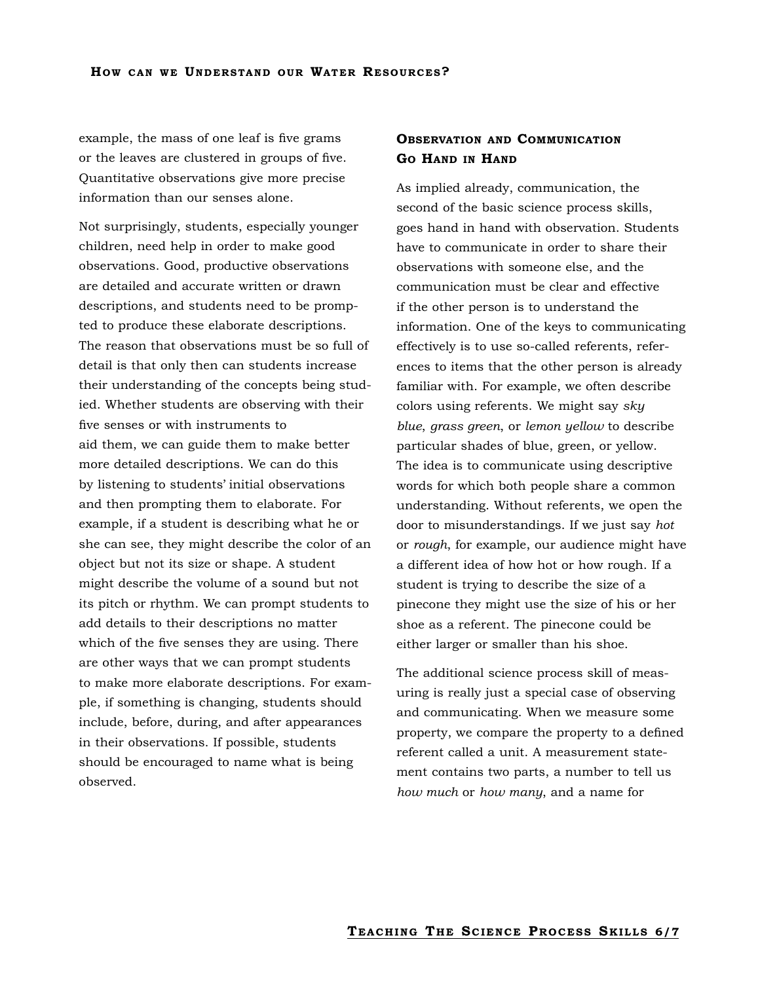example, the mass of one leaf is five grams or the leaves are clustered in groups of five. Quantitative observations give more precise information than our senses alone.

Not surprisingly, students, especially younger children, need help in order to make good observations. Good, productive observations are detailed and accurate written or drawn descriptions, and students need to be prompted to produce these elaborate descriptions. The reason that observations must be so full of detail is that only then can students increase their understanding of the concepts being studied. Whether students are observing with their five senses or with instruments to aid them, we can guide them to make better more detailed descriptions. We can do this by listening to students' initial observations and then prompting them to elaborate. For example, if a student is describing what he or she can see, they might describe the color of an object but not its size or shape. A student might describe the volume of a sound but not its pitch or rhythm. We can prompt students to add details to their descriptions no matter which of the five senses they are using. There are other ways that we can prompt students to make more elaborate descriptions. For example, if something is changing, students should include, before, during, and after appearances in their observations. If possible, students should be encouraged to name what is being observed.

## **OBSERVATION AND COMMUNICATION GO HAND IN HAND**

As implied already, communication, the second of the basic science process skills, goes hand in hand with observation. Students have to communicate in order to share their observations with someone else, and the communication must be clear and effective if the other person is to understand the information. One of the keys to communicating effectively is to use so-called referents, references to items that the other person is already familiar with. For example, we often describe colors using referents. We might say *sky blue*, *grass green*, or *lemon yellow* to describe particular shades of blue, green, or yellow. The idea is to communicate using descriptive words for which both people share a common understanding. Without referents, we open the door to misunderstandings. If we just say *hot* or *rough*, for example, our audience might have a different idea of how hot or how rough. If a student is trying to describe the size of a pinecone they might use the size of his or her shoe as a referent. The pinecone could be either larger or smaller than his shoe.

The additional science process skill of measuring is really just a special case of observing and communicating. When we measure some property, we compare the property to a defined referent called a unit. A measurement statement contains two parts, a number to tell us *how much* or *how many*, and a name for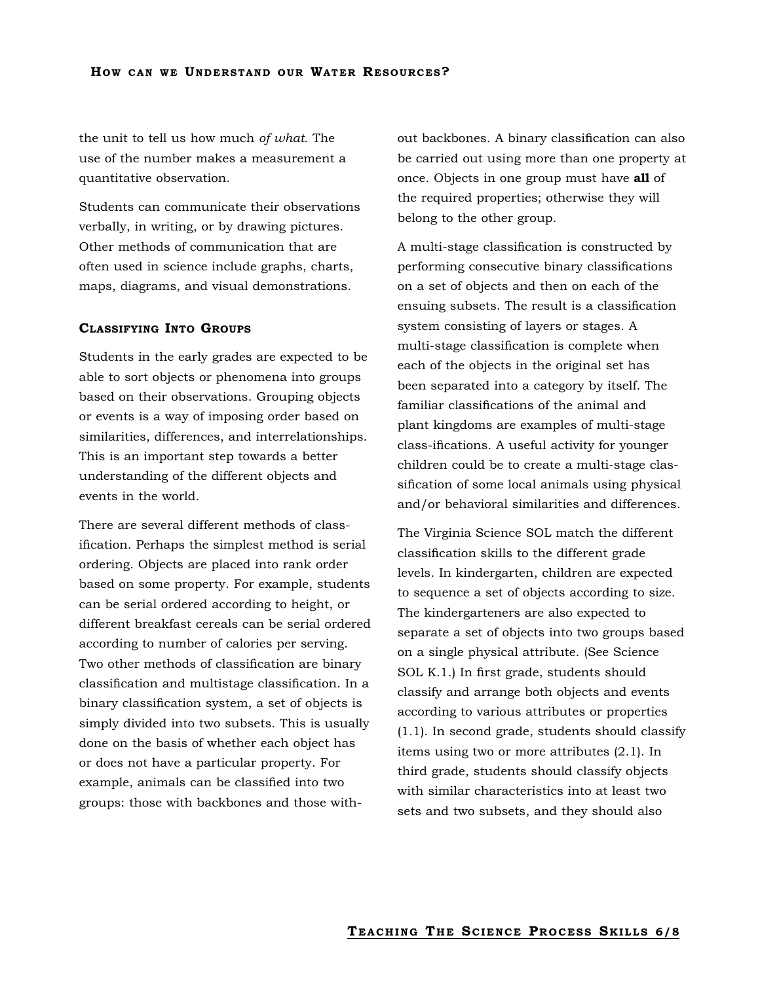the unit to tell us how much *of what*. The use of the number makes a measurement a quantitative observation.

Students can communicate their observations verbally, in writing, or by drawing pictures. Other methods of communication that are often used in science include graphs, charts, maps, diagrams, and visual demonstrations.

## **CLASSIFYING INTO GROUPS**

Students in the early grades are expected to be able to sort objects or phenomena into groups based on their observations. Grouping objects or events is a way of imposing order based on similarities, differences, and interrelationships. This is an important step towards a better understanding of the different objects and events in the world.

There are several different methods of classification. Perhaps the simplest method is serial ordering. Objects are placed into rank order based on some property. For example, students can be serial ordered according to height, or different breakfast cereals can be serial ordered according to number of calories per serving. Two other methods of classification are binary classification and multistage classification. In a binary classification system, a set of objects is simply divided into two subsets. This is usually done on the basis of whether each object has or does not have a particular property. For example, animals can be classified into two groups: those with backbones and those without backbones. A binary classification can also be carried out using more than one property at once. Objects in one group must have **all** of the required properties; otherwise they will belong to the other group.

A multi-stage classification is constructed by performing consecutive binary classifications on a set of objects and then on each of the ensuing subsets. The result is a classification system consisting of layers or stages. A multi-stage classification is complete when each of the objects in the original set has been separated into a category by itself. The familiar classifications of the animal and plant kingdoms are examples of multi-stage class-ifications. A useful activity for younger children could be to create a multi-stage classification of some local animals using physical and/or behavioral similarities and differences.

The Virginia Science SOL match the different classification skills to the different grade levels. In kindergarten, children are expected to sequence a set of objects according to size. The kindergarteners are also expected to separate a set of objects into two groups based on a single physical attribute. (See Science SOL K.1.) In first grade, students should classify and arrange both objects and events according to various attributes or properties (1.1). In second grade, students should classify items using two or more attributes (2.1). In third grade, students should classify objects with similar characteristics into at least two sets and two subsets, and they should also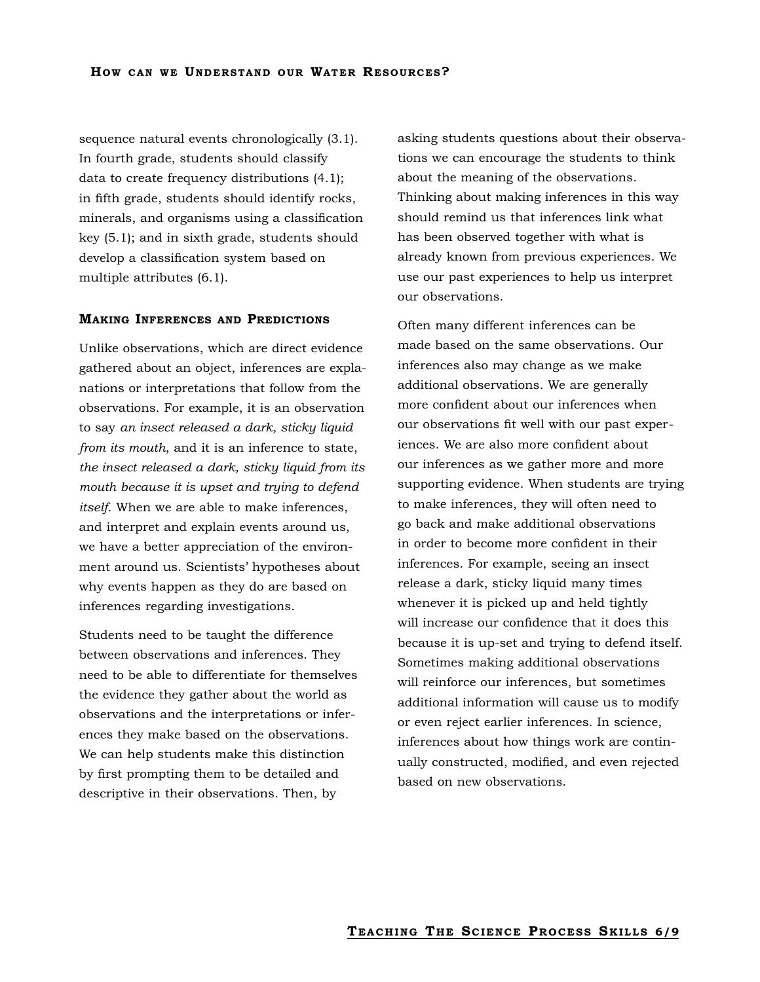sequence natural events chronologically (3.1). In fourth grade, students should classify data to create frequency distributions (4.1); in fifth grade, students should identify rocks, minerals, and organisms using a classification key (5.1); and in sixth grade, students should develop a classification system based on multiple attributes (6.1).

## **MAKING INFERENCES AND PREDICTIONS**

Unlike observations, which are direct evidence gathered about an object, inferences are explanations or interpretations that follow from the observations. For example, it is an observation to say *an insect released a dark, sticky liquid from its mouth*, and it is an inference to state, *the insect released a dark, sticky liquid from its mouth because it is upset and trying to defend itself*. When we are able to make inferences, and interpret and explain events around us, we have a better appreciation of the environment around us. Scientists' hypotheses about why events happen as they do are based on inferences regarding investigations.

Students need to be taught the difference between observations and inferences. They need to be able to differentiate for themselves the evidence they gather about the world as observations and the interpretations or inferences they make based on the observations. We can help students make this distinction by first prompting them to be detailed and descriptive in their observations. Then, by

asking students questions about their observations we can encourage the students to think about the meaning of the observations. Thinking about making inferences in this way should remind us that inferences link what has been observed together with what is already known from previous experiences. We use our past experiences to help us interpret our observations.

Often many different inferences can be made based on the same observations. Our inferences also may change as we make additional observations. We are generally more confident about our inferences when our observations fit well with our past experiences. We are also more confident about our inferences as we gather more and more supporting evidence. When students are trying to make inferences, they will often need to go back and make additional observations in order to become more confident in their inferences. For example, seeing an insect release a dark, sticky liquid many times whenever it is picked up and held tightly will increase our confidence that it does this because it is up-set and trying to defend itself. Sometimes making additional observations will reinforce our inferences, but sometimes additional information will cause us to modify or even reject earlier inferences. In science, inferences about how things work are continually constructed, modified, and even rejected based on new observations.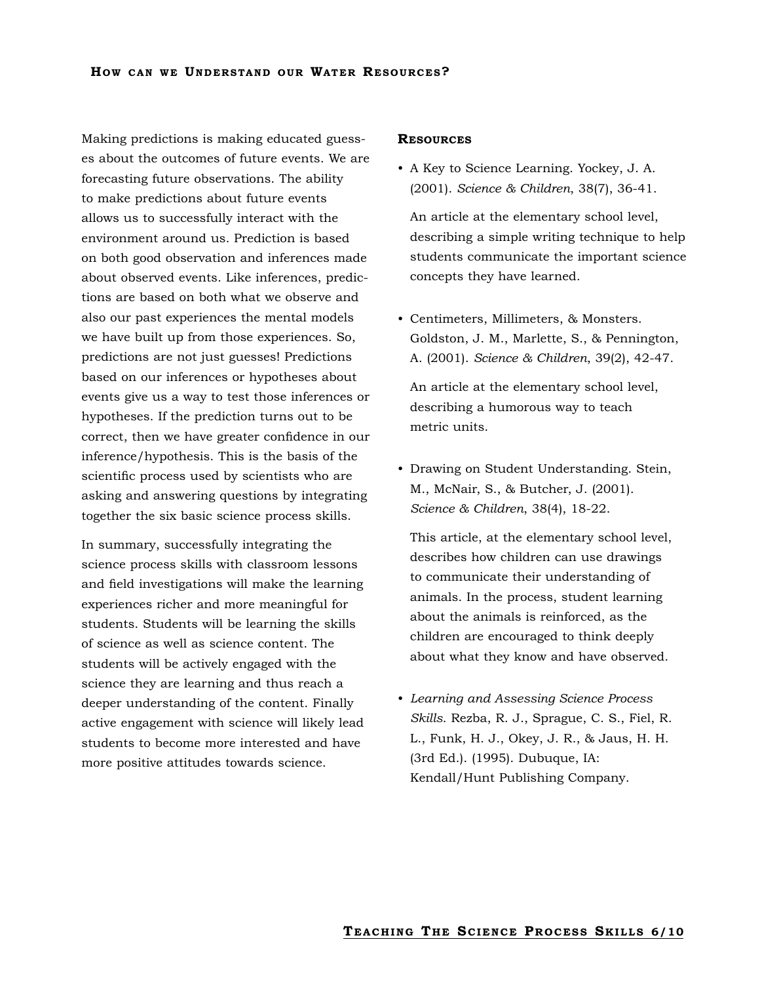Making predictions is making educated guesses about the outcomes of future events. We are forecasting future observations. The ability to make predictions about future events allows us to successfully interact with the environment around us. Prediction is based on both good observation and inferences made about observed events. Like inferences, predictions are based on both what we observe and also our past experiences the mental models we have built up from those experiences. So, predictions are not just guesses! Predictions based on our inferences or hypotheses about events give us a way to test those inferences or hypotheses. If the prediction turns out to be correct, then we have greater confidence in our inference/hypothesis. This is the basis of the scientific process used by scientists who are asking and answering questions by integrating together the six basic science process skills.

In summary, successfully integrating the science process skills with classroom lessons and field investigations will make the learning experiences richer and more meaningful for students. Students will be learning the skills of science as well as science content. The students will be actively engaged with the science they are learning and thus reach a deeper understanding of the content. Finally active engagement with science will likely lead students to become more interested and have more positive attitudes towards science.

## **RESOURCES**

• A Key to Science Learning. Yockey, J. A. (2001). *Science & Children*, 38(7), 36-41.

An article at the elementary school level, describing a simple writing technique to help students communicate the important science concepts they have learned.

• Centimeters, Millimeters, & Monsters. Goldston, J. M., Marlette, S., & Pennington, A. (2001). *Science & Children*, 39(2), 42-47.

An article at the elementary school level, describing a humorous way to teach metric units.

• Drawing on Student Understanding. Stein, M., McNair, S., & Butcher, J. (2001). *Science & Children*, 38(4), 18-22.

This article, at the elementary school level, describes how children can use drawings to communicate their understanding of animals. In the process, student learning about the animals is reinforced, as the children are encouraged to think deeply about what they know and have observed.

• *Learning and Assessing Science Process Skills*. Rezba, R. J., Sprague, C. S., Fiel, R. L., Funk, H. J., Okey, J. R., & Jaus, H. H. (3rd Ed.). (1995). Dubuque, IA: Kendall/Hunt Publishing Company.